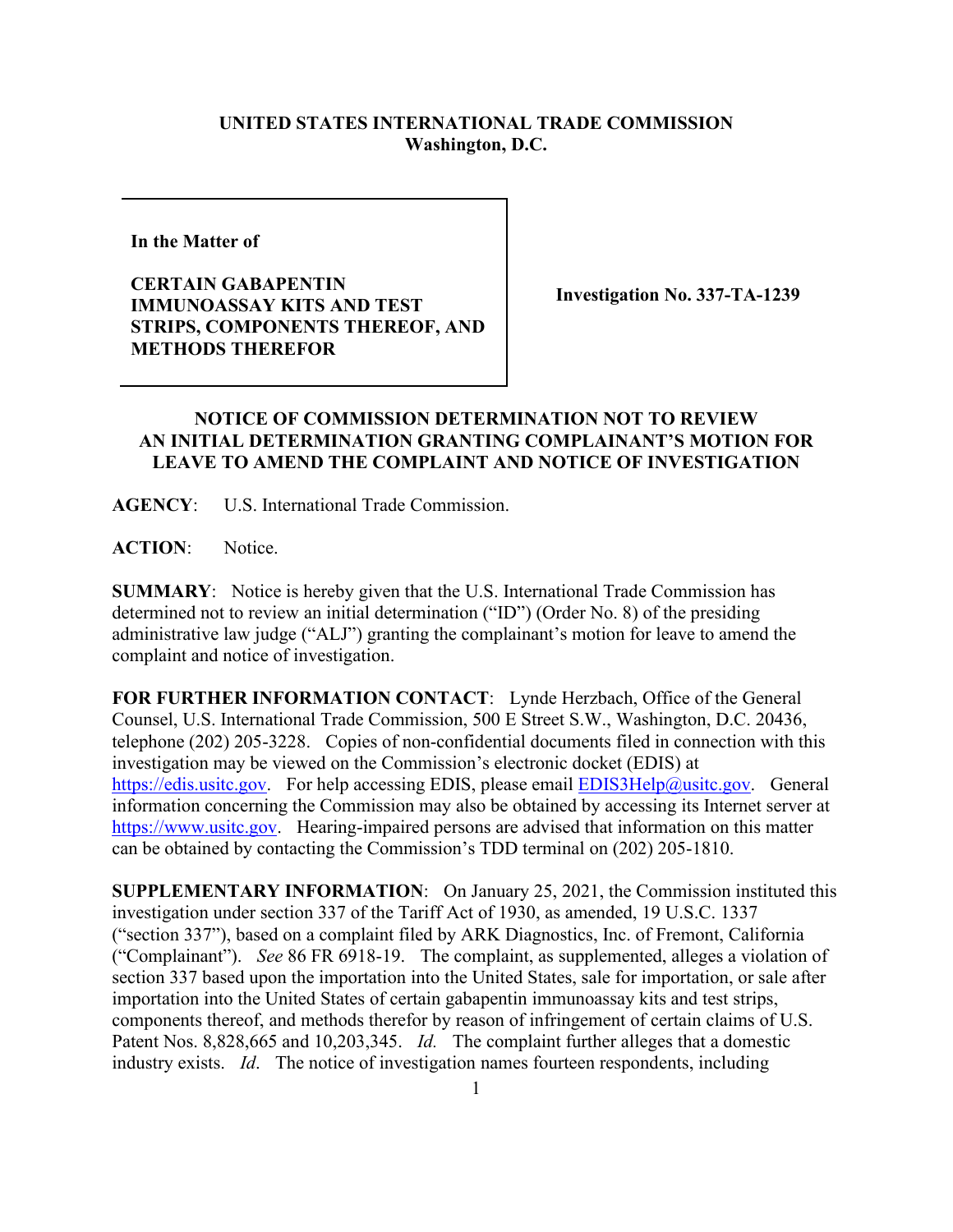## **UNITED STATES INTERNATIONAL TRADE COMMISSION Washington, D.C.**

**In the Matter of** 

**CERTAIN GABAPENTIN IMMUNOASSAY KITS AND TEST STRIPS, COMPONENTS THEREOF, AND METHODS THEREFOR**

**Investigation No. 337-TA-1239**

## **NOTICE OF COMMISSION DETERMINATION NOT TO REVIEW AN INITIAL DETERMINATION GRANTING COMPLAINANT'S MOTION FOR LEAVE TO AMEND THE COMPLAINT AND NOTICE OF INVESTIGATION**

**AGENCY**: U.S. International Trade Commission.

**ACTION**: Notice.

**SUMMARY**: Notice is hereby given that the U.S. International Trade Commission has determined not to review an initial determination ("ID") (Order No. 8) of the presiding administrative law judge ("ALJ") granting the complainant's motion for leave to amend the complaint and notice of investigation.

**FOR FURTHER INFORMATION CONTACT**: Lynde Herzbach, Office of the General Counsel, U.S. International Trade Commission, 500 E Street S.W., Washington, D.C. 20436, telephone (202) 205-3228. Copies of non-confidential documents filed in connection with this investigation may be viewed on the Commission's electronic docket (EDIS) at [https://edis.usitc.gov.](https://edis.usitc.gov/) For help accessing EDIS, please email [EDIS3Help@usitc.gov.](mailto:EDIS3Help@usitc.gov) General information concerning the Commission may also be obtained by accessing its Internet server at [https://www.usitc.gov.](https://www.usitc.gov/) Hearing-impaired persons are advised that information on this matter can be obtained by contacting the Commission's TDD terminal on (202) 205-1810.

**SUPPLEMENTARY INFORMATION**: On January 25, 2021, the Commission instituted this investigation under section 337 of the Tariff Act of 1930, as amended, 19 U.S.C. 1337 ("section 337"), based on a complaint filed by ARK Diagnostics, Inc. of Fremont, California ("Complainant"). *See* 86 FR 6918-19. The complaint, as supplemented, alleges a violation of section 337 based upon the importation into the United States, sale for importation, or sale after importation into the United States of certain gabapentin immunoassay kits and test strips, components thereof, and methods therefor by reason of infringement of certain claims of U.S. Patent Nos. 8,828,665 and 10,203,345. *Id.* The complaint further alleges that a domestic industry exists. *Id*. The notice of investigation names fourteen respondents, including